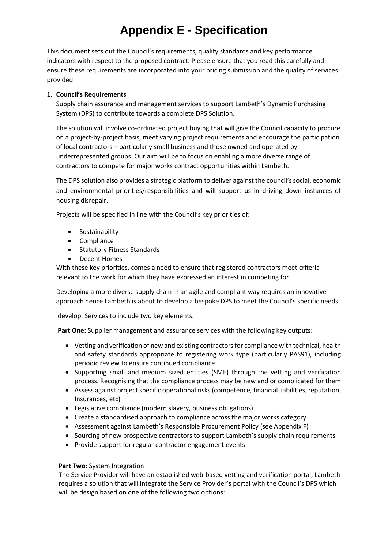## **Appendix E - Specification**

This document sets out the Council's requirements, quality standards and key performance indicators with respect to the proposed contract. Please ensure that you read this carefully and ensure these requirements are incorporated into your pricing submission and the quality of services provided.

## **1. Council's Requirements**

Supply chain assurance and management services to support Lambeth's Dynamic Purchasing System (DPS) to contribute towards a complete DPS Solution.

The solution will involve co-ordinated project buying that will give the Council capacity to procure on a project-by-project basis, meet varying project requirements and encourage the participation of local contractors – particularly small business and those owned and operated by underrepresented groups. Our aim will be to focus on enabling a more diverse range of contractors to compete for major works contract opportunities within Lambeth.

The DPS solution also provides a strategic platform to deliver against the council's social, economic and environmental priorities/responsibilities and will support us in driving down instances of housing disrepair.

Projects will be specified in line with the Council's key priorities of:

- Sustainability
- Compliance
- Statutory Fitness Standards
- Decent Homes

With these key priorities, comes a need to ensure that registered contractors meet criteria relevant to the work for which they have expressed an interest in competing for.

Developing a more diverse supply chain in an agile and compliant way requires an innovative approach hence Lambeth is about to develop a bespoke DPS to meet the Council's specific needs.

develop. Services to include two key elements.

**Part One:** Supplier management and assurance services with the following key outputs:

- Vetting and verification of new and existing contractors for compliance with technical, health and safety standards appropriate to registering work type (particularly PAS91), including periodic review to ensure continued compliance
- Supporting small and medium sized entities (SME) through the vetting and verification process. Recognising that the compliance process may be new and or complicated for them
- Assess against project specific operational risks (competence, financial liabilities, reputation, Insurances, etc)
- Legislative compliance (modern slavery, business obligations)
- Create a standardised approach to compliance across the major works category
- Assessment against Lambeth's Responsible Procurement Policy (see Appendix F)
- Sourcing of new prospective contractors to support Lambeth's supply chain requirements
- Provide support for regular contractor engagement events

## **Part Two:** System Integration

The Service Provider will have an established web-based vetting and verification portal, Lambeth requires a solution that will integrate the Service Provider's portal with the Council's DPS which will be design based on one of the following two options: